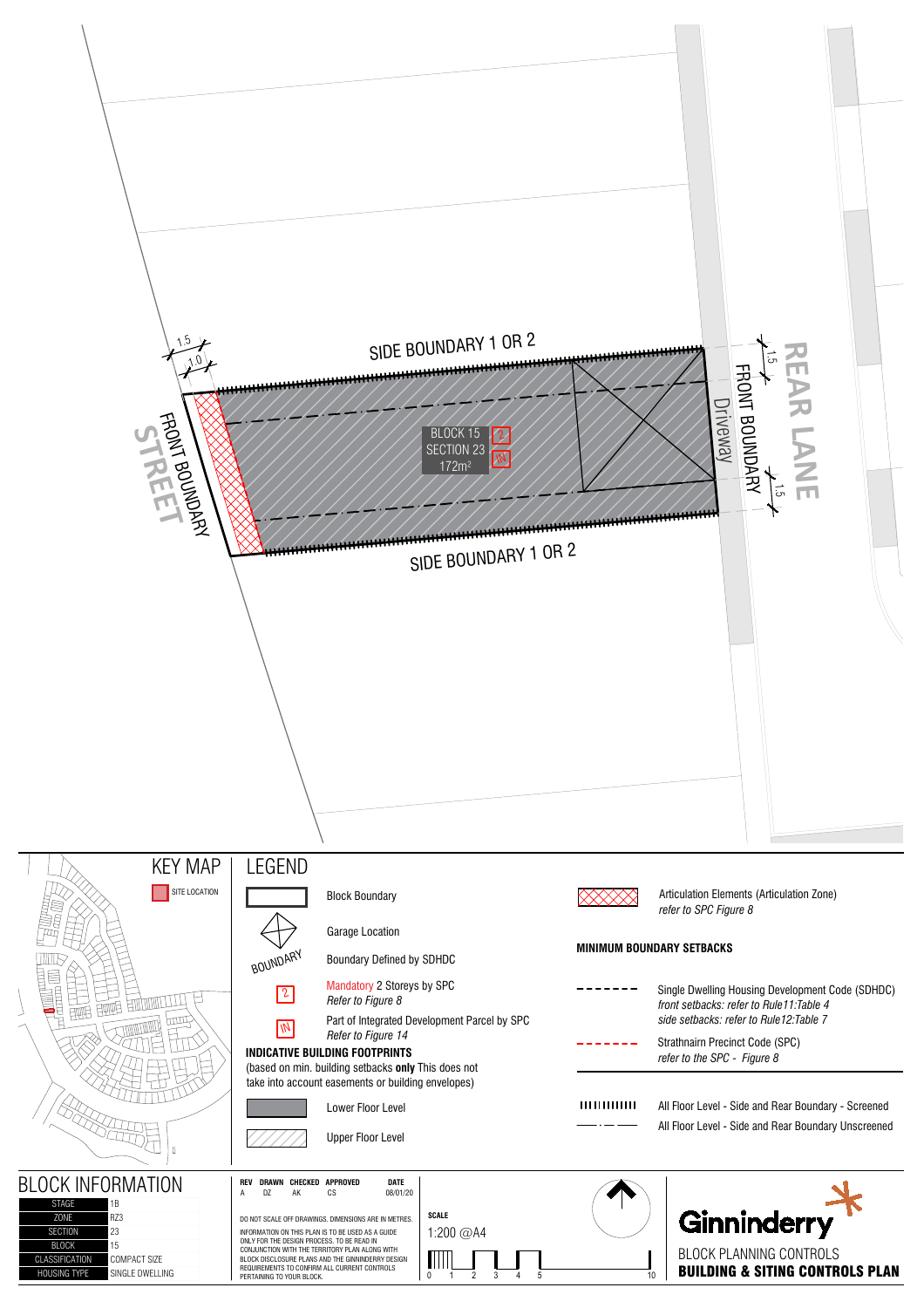